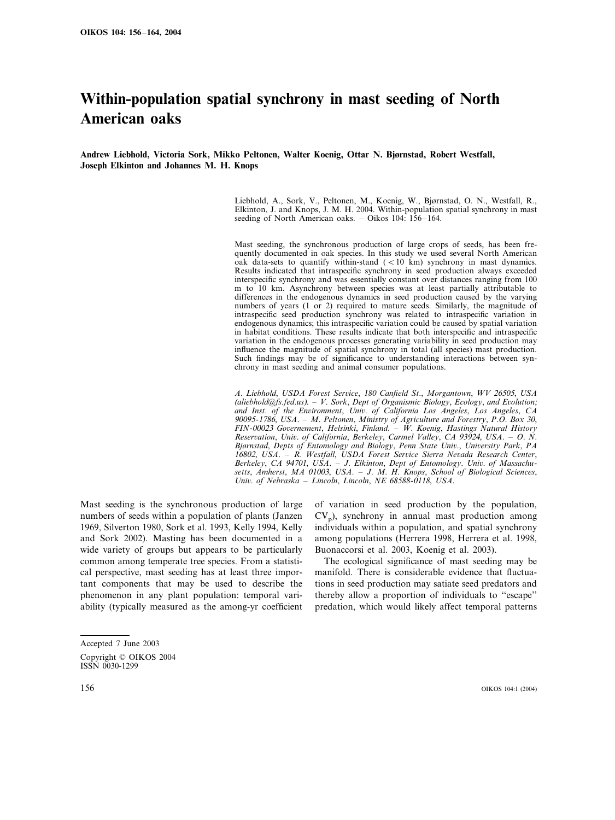# **Within-population spatial synchrony in mast seeding of North American oaks**

**Andrew Liebhold, Victoria Sork, Mikko Peltonen, Walter Koenig, Ottar N. Bjørnstad, Robert Westfall, Joseph Elkinton and Johannes M. H. Knops**

> Liebhold, A., Sork, V., Peltonen, M., Koenig, W., Bjørnstad, O. N., Westfall, R., Elkinton, J. and Knops, J. M. H. 2004. Within-population spatial synchrony in mast seeding of North American oaks. – Oikos 104: 156–164.

> Mast seeding, the synchronous production of large crops of seeds, has been frequently documented in oak species. In this study we used several North American oak data-sets to quantify within-stand  $(< 10 \text{ km})$  synchrony in mast dynamics. Results indicated that intraspecific synchrony in seed production always exceeded interspecific synchrony and was essentially constant over distances ranging from 100 m to 10 km. Asynchrony between species was at least partially attributable to differences in the endogenous dynamics in seed production caused by the varying numbers of years (1 or 2) required to mature seeds. Similarly, the magnitude of intraspecific seed production synchrony was related to intraspecific variation in endogenous dynamics; this intraspecific variation could be caused by spatial variation in habitat conditions. These results indicate that both interspecific and intraspecific variation in the endogenous processes generating variability in seed production may influence the magnitude of spatial synchrony in total (all species) mast production. Such findings may be of significance to understanding interactions between synchrony in mast seeding and animal consumer populations.

> *A*. *Liebhold*, *USDA Forest Serice*, <sup>180</sup> *Canfield St*., *Morgantown*, *WV* <sup>26505</sup>, *USA* (*aliebhold@fs*.*fed*.*us*). – *V*. *Sork*, *Dept of Organismic Biology*, *Ecology*, *and Eolution*; *and Inst*. *of the Enironment*, *Uni*. *of California Los Angeles*, *Los Angeles*, *CA* 90095-1786, *USA*. – *M*. *Peltonen*, *Ministry of Agriculture and Forestry*, *P*.*O*. *Box* 30, *FIN*-<sup>00023</sup> *Goernement*, *Helsinki*, *Finland*. – *W*. *Koenig*, *Hastings Natural History Reseration*, *Uni*. *of California*, *Berkeley*, *Carmel Valley*, *CA* <sup>93924</sup>, *USA*. – *O*. *N*. *Bjørnstad*, *Depts of Entomology and Biology*, *Penn State Uni*., *Uniersity Park*, *PA* <sup>16802</sup>, *USA*. – *R*. *Westfall*, *USDA Forest Serice Sierra Neada Research Center*, *Berkeley*, *CA* <sup>94701</sup>, *USA*. – *J*. *Elkinton*, *Dept of Entomology*. *Uni*. *of Massachusetts*, *Amherst*, *MA* 01003, *USA*. – *J*. *M*. *H*. *Knops*, *School of Biological Sciences*, *Uni*. *of Nebraska* – *Lincoln*, *Lincoln*, *NE* <sup>68588</sup>-0118, *USA*.

Mast seeding is the synchronous production of large numbers of seeds within a population of plants (Janzen 1969, Silverton 1980, Sork et al. 1993, Kelly 1994, Kelly and Sork 2002). Masting has been documented in a wide variety of groups but appears to be particularly common among temperate tree species. From a statistical perspective, mast seeding has at least three important components that may be used to describe the phenomenon in any plant population: temporal variability (typically measured as the among-yr coefficient of variation in seed production by the population,  $CV<sub>p</sub>$ , synchrony in annual mast production among individuals within a population, and spatial synchrony among populations (Herrera 1998, Herrera et al. 1998, Buonaccorsi et al. 2003, Koenig et al. 2003).

The ecological significance of mast seeding may be manifold. There is considerable evidence that fluctuations in seed production may satiate seed predators and thereby allow a proportion of individuals to ''escape'' predation, which would likely affect temporal patterns

Accepted 7 June 2003 Copyright © OIKOS 2004 ISSN 0030-1299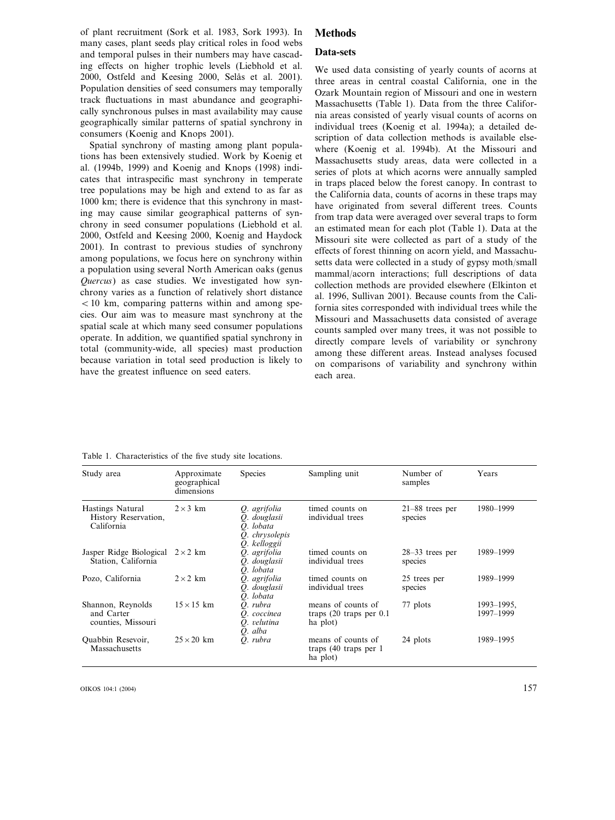of plant recruitment (Sork et al. 1983, Sork 1993). In many cases, plant seeds play critical roles in food webs and temporal pulses in their numbers may have cascading effects on higher trophic levels (Liebhold et al. 2000, Ostfeld and Keesing 2000, Selås et al. 2001). Population densities of seed consumers may temporally track fluctuations in mast abundance and geographically synchronous pulses in mast availability may cause geographically similar patterns of spatial synchrony in consumers (Koenig and Knops 2001).

Spatial synchrony of masting among plant populations has been extensively studied. Work by Koenig et al. (1994b, 1999) and Koenig and Knops (1998) indicates that intraspecific mast synchrony in temperate tree populations may be high and extend to as far as 1000 km; there is evidence that this synchrony in masting may cause similar geographical patterns of synchrony in seed consumer populations (Liebhold et al. 2000, Ostfeld and Keesing 2000, Koenig and Haydock 2001). In contrast to previous studies of synchrony among populations, we focus here on synchrony within a population using several North American oaks (genus *Quercus*) as case studies. We investigated how synchrony varies as a function of relatively short distance  $10 \text{ km}$ , comparing patterns within and among species. Our aim was to measure mast synchrony at the spatial scale at which many seed consumer populations operate. In addition, we quantified spatial synchrony in total (community-wide, all species) mast production because variation in total seed production is likely to have the greatest influence on seed eaters.

# **Methods**

### **Data-sets**

We used data consisting of yearly counts of acorns at three areas in central coastal California, one in the Ozark Mountain region of Missouri and one in western Massachusetts (Table 1). Data from the three California areas consisted of yearly visual counts of acorns on individual trees (Koenig et al. 1994a); a detailed description of data collection methods is available elsewhere (Koenig et al. 1994b). At the Missouri and Massachusetts study areas, data were collected in a series of plots at which acorns were annually sampled in traps placed below the forest canopy. In contrast to the California data, counts of acorns in these traps may have originated from several different trees. Counts from trap data were averaged over several traps to form an estimated mean for each plot (Table 1). Data at the Missouri site were collected as part of a study of the effects of forest thinning on acorn yield, and Massachusetts data were collected in a study of gypsy moth/small mammal/acorn interactions; full descriptions of data collection methods are provided elsewhere (Elkinton et al. 1996, Sullivan 2001). Because counts from the California sites corresponded with individual trees while the Missouri and Massachusetts data consisted of average counts sampled over many trees, it was not possible to directly compare levels of variability or synchrony among these different areas. Instead analyses focused on comparisons of variability and synchrony within each area.

| Study area                                             | Approximate<br>geographical<br>dimensions | <b>Species</b>                                                                 | Sampling unit                                                         | Number of<br>samples         | Years                   |
|--------------------------------------------------------|-------------------------------------------|--------------------------------------------------------------------------------|-----------------------------------------------------------------------|------------------------------|-------------------------|
| Hastings Natural<br>History Reservation,<br>California | $2 \times 3$ km                           | Q. agrifolia<br>O. douglasii<br>O. lobata<br>chrysolepis<br>Q.<br>O. kelloggii | timed counts on<br>individual trees                                   | $21-88$ trees per<br>species | 1980-1999               |
| Jasper Ridge Biological<br>Station, California         | $2 \times 2$ km                           | Q. agrifolia<br>O. douglasii<br>O. lobata                                      | timed counts on<br>individual trees                                   | $28-33$ trees per<br>species | 1989-1999               |
| Pozo, California                                       | $2 \times 2$ km                           | Q. agrifolia<br>O. douglasii<br>O. lobata                                      | timed counts on<br>individual trees                                   | 25 trees per<br>species      | 1989-1999               |
| Shannon, Reynolds<br>and Carter<br>counties, Missouri  | $15 \times 15$ km                         | Q. rubra<br>O. coccinea<br>Q. velutina<br>Q. alba                              | means of counts of<br>traps $(20 \text{ traps per } 0.1)$<br>ha plot) | 77 plots                     | 1993–1995,<br>1997-1999 |
| Quabbin Resevoir,<br>Massachusetts                     | $25 \times 20$ km                         | O. rubra                                                                       | means of counts of<br>traps $(40$ traps per 1<br>ha plot)             | 24 plots                     | 1989-1995               |

Table 1. Characteristics of the five study site locations.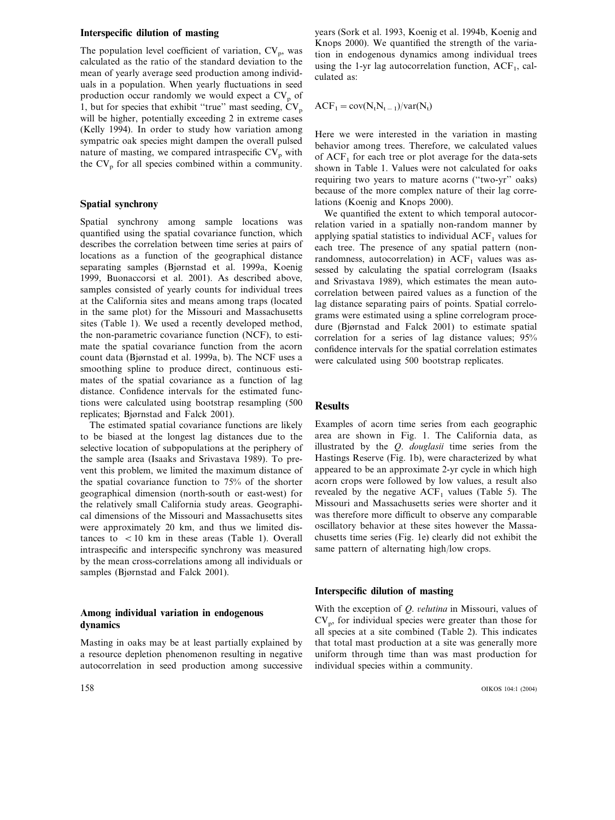# **Interspecific dilution of masting**

The population level coefficient of variation,  $CV_p$ , was calculated as the ratio of the standard deviation to the mean of yearly average seed production among individuals in a population. When yearly fluctuations in seed production occur randomly we would expect a CV<sub>p</sub> of 1, but for species that exhibit "true" mast seeding,  $CV_p$ will be higher, potentially exceeding 2 in extreme cases (Kelly 1994). In order to study how variation among sympatric oak species might dampen the overall pulsed nature of masting, we compared intraspecific  $CV_p$  with the  $CV_p$  for all species combined within a community.

### **Spatial synchrony**

Spatial synchrony among sample locations was quantified using the spatial covariance function, which describes the correlation between time series at pairs of locations as a function of the geographical distance separating samples (Bjørnstad et al. 1999a, Koenig 1999, Buonaccorsi et al. 2001). As described above, samples consisted of yearly counts for individual trees at the California sites and means among traps (located in the same plot) for the Missouri and Massachusetts sites (Table 1). We used a recently developed method, the non-parametric covariance function (NCF), to estimate the spatial covariance function from the acorn count data (Bjørnstad et al. 1999a, b). The NCF uses a smoothing spline to produce direct, continuous estimates of the spatial covariance as a function of lag distance. Confidence intervals for the estimated functions were calculated using bootstrap resampling (500 replicates; Bjørnstad and Falck 2001).

The estimated spatial covariance functions are likely to be biased at the longest lag distances due to the selective location of subpopulations at the periphery of the sample area (Isaaks and Srivastava 1989). To prevent this problem, we limited the maximum distance of the spatial covariance function to 75% of the shorter geographical dimension (north-south or east-west) for the relatively small California study areas. Geographical dimensions of the Missouri and Massachusetts sites were approximately 20 km, and thus we limited distances to  $\langle 10 \text{ km} \rangle$  in these areas (Table 1). Overall intraspecific and interspecific synchrony was measured by the mean cross-correlations among all individuals or samples (Bjørnstad and Falck 2001).

# **Among individual variation in endogenous dynamics**

Masting in oaks may be at least partially explained by a resource depletion phenomenon resulting in negative autocorrelation in seed production among successive

years (Sork et al. 1993, Koenig et al. 1994b, Koenig and Knops 2000). We quantified the strength of the variation in endogenous dynamics among individual trees using the 1-yr lag autocorrelation function,  $ACF<sub>1</sub>$ , calculated as:

 $ACF_1 = cov(N_tN_{t-1})/var(N_t)$ 

Here we were interested in the variation in masting behavior among trees. Therefore, we calculated values of  $ACF<sub>1</sub>$  for each tree or plot average for the data-sets shown in Table 1. Values were not calculated for oaks requiring two years to mature acorns (''two-yr'' oaks) because of the more complex nature of their lag correlations (Koenig and Knops 2000).

We quantified the extent to which temporal autocorrelation varied in a spatially non-random manner by applying spatial statistics to individual  $ACF<sub>1</sub>$  values for each tree. The presence of any spatial pattern (nonrandomness, autocorrelation) in  $ACF<sub>1</sub>$  values was assessed by calculating the spatial correlogram (Isaaks and Srivastava 1989), which estimates the mean autocorrelation between paired values as a function of the lag distance separating pairs of points. Spatial correlograms were estimated using a spline correlogram procedure (Bjørnstad and Falck 2001) to estimate spatial correlation for a series of lag distance values; 95% confidence intervals for the spatial correlation estimates were calculated using 500 bootstrap replicates.

# **Results**

Examples of acorn time series from each geographic area are shown in Fig. 1. The California data, as illustrated by the *Q*. *douglasii* time series from the Hastings Reserve (Fig. 1b), were characterized by what appeared to be an approximate 2-yr cycle in which high acorn crops were followed by low values, a result also revealed by the negative  $ACF<sub>1</sub>$  values (Table 5). The Missouri and Massachusetts series were shorter and it was therefore more difficult to observe any comparable oscillatory behavior at these sites however the Massachusetts time series (Fig. 1e) clearly did not exhibit the same pattern of alternating high/low crops.

#### **Interspecific dilution of masting**

With the exception of *Q*. *elutina* in Missouri, values of  $CV<sub>p</sub>$ , for individual species were greater than those for all species at a site combined (Table 2). This indicates that total mast production at a site was generally more uniform through time than was mast production for individual species within a community.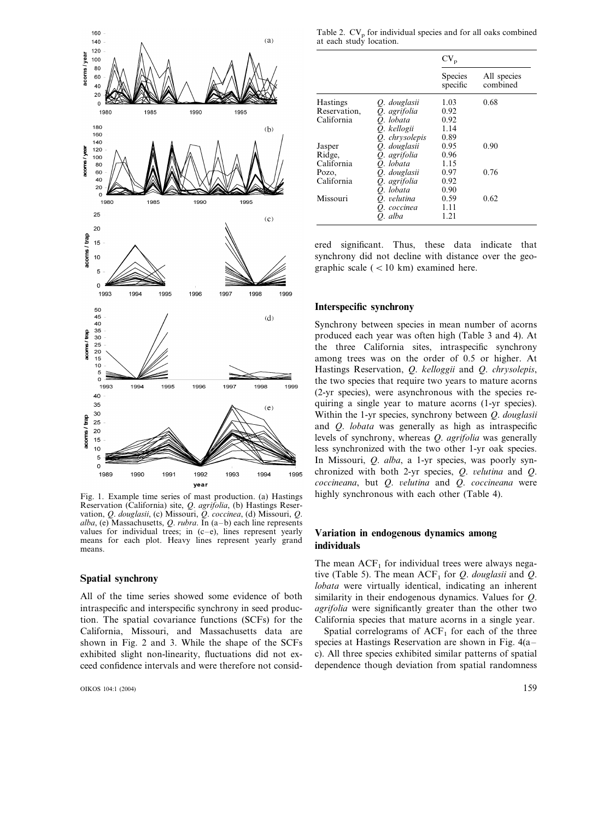

Fig. 1. Example time series of mast production. (a) Hastings Reservation (California) site, *Q*. *agrifolia*, (b) Hastings Reservation, *Q*. *douglasii*, (c) Missouri, *Q*. *coccinea*, (d) Missouri, *Q*. *alba*, (e) Massachusetts, *Q*. *rubra*. In (a–b) each line represents values for individual trees; in  $(c-e)$ , lines represent yearly means for each plot. Heavy lines represent yearly grand means.

#### **Spatial synchrony**

All of the time series showed some evidence of both intraspecific and interspecific synchrony in seed production. The spatial covariance functions (SCFs) for the California, Missouri, and Massachusetts data are shown in Fig. 2 and 3. While the shape of the SCFs exhibited slight non-linearity, fluctuations did not exceed confidence intervals and were therefore not consid-

OIKOS 104:1 (2004) 159

Table 2.  $CV_p$  for individual species and for all oaks combined at each study location.

|                 |                | $CV_p$              |                         |
|-----------------|----------------|---------------------|-------------------------|
|                 |                | Species<br>specific | All species<br>combined |
| <b>Hastings</b> | Q. douglasii   | 1.03                | 0.68                    |
| Reservation,    | O. agrifolia   | 0.92                |                         |
| California      | O. lobata      | 0.92                |                         |
|                 | O. kellogii    | 1.14                |                         |
|                 | O. chrysolepis | 0.89                |                         |
| Jasper          | Q. douglasii   | 0.95                | 0.90                    |
| Ridge,          | Q. agrifolia   | 0.96                |                         |
| California      | O. lobata      | 1.15                |                         |
| Pozo,           | O. douglasii   | 0.97                | 0.76                    |
| California      | O. agrifolia   | 0.92                |                         |
|                 | O. lobata      | 0.90                |                         |
| Missouri        | O. velutina    | 0.59                | 0.62                    |
|                 | O. coccinea    | 1.11                |                         |
|                 | O. alba        | 1.21                |                         |

ered significant. Thus, these data indicate that synchrony did not decline with distance over the geographic scale ( $<$  10 km) examined here.

#### **Interspecific synchrony**

Synchrony between species in mean number of acorns produced each year was often high (Table 3 and 4). At the three California sites, intraspecific synchrony among trees was on the order of 0.5 or higher. At Hastings Reservation, *Q*. *kelloggii* and *Q*. *chrysolepis*, the two species that require two years to mature acorns (2-yr species), were asynchronous with the species requiring a single year to mature acorns (1-yr species). Within the 1-yr species, synchrony between *Q*. *douglasii* and *Q*. *lobata* was generally as high as intraspecific levels of synchrony, whereas *Q*. *agrifolia* was generally less synchronized with the two other 1-yr oak species. In Missouri, *Q*. *alba*, a 1-yr species, was poorly synchronized with both 2-yr species, *Q*. *elutina* and *Q*. *coccineana*, but *Q*. *elutina* and *Q*. *coccineana* were highly synchronous with each other (Table 4).

# **Variation in endogenous dynamics among individuals**

The mean  $ACF<sub>1</sub>$  for individual trees were always negative (Table 5). The mean  $ACF_1$  for *Q. douglasii* and *Q. lobata* were virtually identical, indicating an inherent similarity in their endogenous dynamics. Values for *Q*. *agrifolia* were significantly greater than the other two California species that mature acorns in a single year.

Spatial correlograms of  $ACF<sub>1</sub>$  for each of the three species at Hastings Reservation are shown in Fig. 4(a– c). All three species exhibited similar patterns of spatial dependence though deviation from spatial randomness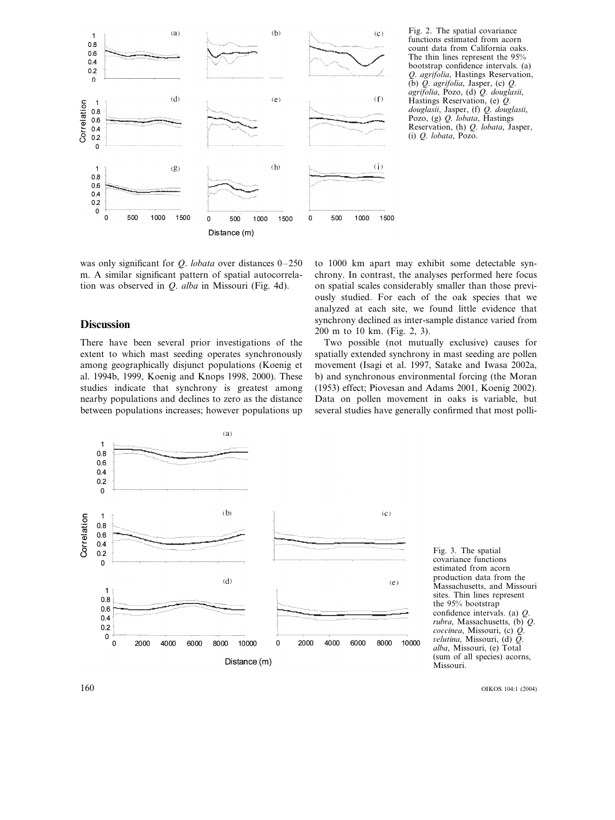

Fig. 2. The spatial covariance functions estimated from acorn count data from California oaks. The thin lines represent the 95% bootstrap confidence intervals. (a) *Q*. *agrifolia*, Hastings Reservation, (b) *Q*. *agrifolia*, Jasper, (c) *Q*. *agrifolia*, Pozo, (d) *Q*. *douglasii*, Hastings Reservation, (e) *Q*. *douglasii*, Jasper, (f) *Q*. *douglasii*, Pozo, (g) *Q*. *lobata*, Hastings Reservation, (h) *Q*. *lobata*, Jasper, (i) *Q*. *lobata*, Pozo.

was only significant for *Q*. *lobata* over distances 0–250 m. A similar significant pattern of spatial autocorrelation was observed in *Q*. *alba* in Missouri (Fig. 4d).

# **Discussion**

There have been several prior investigations of the extent to which mast seeding operates synchronously among geographically disjunct populations (Koenig et al. 1994b, 1999, Koenig and Knops 1998, 2000). These studies indicate that synchrony is greatest among nearby populations and declines to zero as the distance between populations increases; however populations up to 1000 km apart may exhibit some detectable synchrony. In contrast, the analyses performed here focus on spatial scales considerably smaller than those previously studied. For each of the oak species that we analyzed at each site, we found little evidence that synchrony declined as inter-sample distance varied from 200 m to 10 km. (Fig. 2, 3).

Two possible (not mutually exclusive) causes for spatially extended synchrony in mast seeding are pollen movement (Isagi et al. 1997, Satake and Iwasa 2002a, b) and synchronous environmental forcing (the Moran (1953) effect; Piovesan and Adams 2001, Koenig 2002). Data on pollen movement in oaks is variable, but several studies have generally confirmed that most polli-



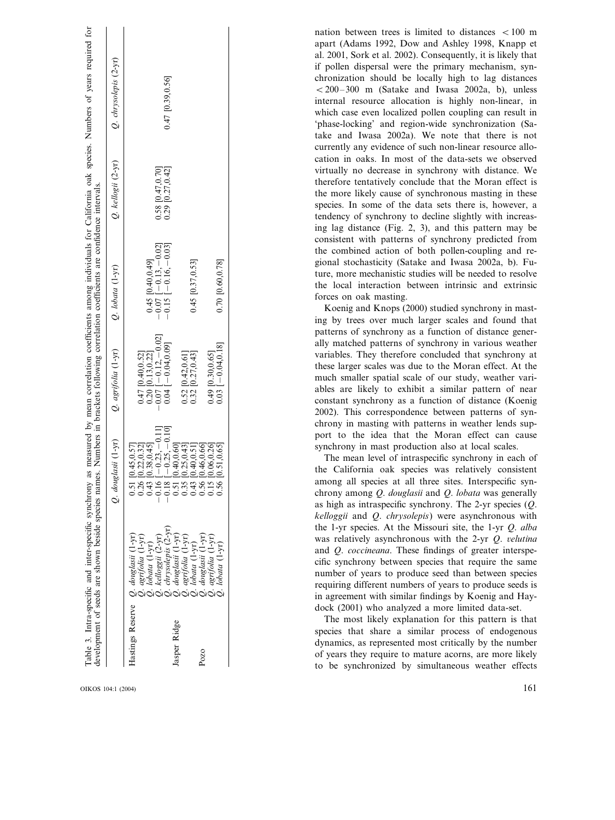|               |                                                                                                                                                                                                                                                                                                               |                                  |                                              | nation between trees is limited to distances $\langle 100 \text{ m} \rangle$<br>apart (Adams 1992, Dow and Ashley 1998, Knapp et |
|---------------|---------------------------------------------------------------------------------------------------------------------------------------------------------------------------------------------------------------------------------------------------------------------------------------------------------------|----------------------------------|----------------------------------------------|----------------------------------------------------------------------------------------------------------------------------------|
|               |                                                                                                                                                                                                                                                                                                               |                                  |                                              | al. 2001, Sork et al. 2002). Consequently, it is likely that                                                                     |
| $(2-yr)$      |                                                                                                                                                                                                                                                                                                               |                                  |                                              | if pollen dispersal were the primary mechanism, syn-<br>chronization should be locally high to lag distances                     |
| chrysolepis   | 0.47 [0.39,0.56]                                                                                                                                                                                                                                                                                              |                                  |                                              | $< 200-300$ m (Satake and Iwasa 2002a, b), unless                                                                                |
|               |                                                                                                                                                                                                                                                                                                               |                                  |                                              | internal resource allocation is highly non-linear, in                                                                            |
|               |                                                                                                                                                                                                                                                                                                               |                                  |                                              | which case even localized pollen coupling can result in                                                                          |
| Ò             |                                                                                                                                                                                                                                                                                                               |                                  |                                              | 'phase-locking' and region-wide synchronization (Sa-                                                                             |
|               |                                                                                                                                                                                                                                                                                                               |                                  |                                              | take and Iwasa 2002a). We note that there is not                                                                                 |
|               |                                                                                                                                                                                                                                                                                                               |                                  |                                              | currently any evidence of such non-linear resource allo-                                                                         |
|               |                                                                                                                                                                                                                                                                                                               |                                  |                                              | cation in oaks. In most of the data-sets we observed                                                                             |
| $(2-yr)$      | $[0.47, 0.70]$<br>$[0.27, 0.42]$                                                                                                                                                                                                                                                                              |                                  |                                              | virtually no decrease in synchrony with distance. We                                                                             |
|               |                                                                                                                                                                                                                                                                                                               |                                  |                                              | therefore tentatively conclude that the Moran effect is                                                                          |
| kellogii      |                                                                                                                                                                                                                                                                                                               |                                  |                                              | the more likely cause of synchronous masting in these                                                                            |
| Ö             | $\frac{62.0}{0.29}$                                                                                                                                                                                                                                                                                           |                                  |                                              | species. In some of the data sets there is, however, a<br>tendency of synchrony to decline slightly with increas-                |
|               |                                                                                                                                                                                                                                                                                                               |                                  |                                              | ing lag distance (Fig. 2, 3), and this pattern may be                                                                            |
|               |                                                                                                                                                                                                                                                                                                               |                                  |                                              | consistent with patterns of synchrony predicted from                                                                             |
|               | 0.02                                                                                                                                                                                                                                                                                                          |                                  |                                              | the combined action of both pollen-coupling and re-                                                                              |
|               | $-0.03$                                                                                                                                                                                                                                                                                                       |                                  |                                              | gional stochasticity (Satake and Iwasa 2002a, b). Fu-                                                                            |
| $(1-yr)$      |                                                                                                                                                                                                                                                                                                               |                                  |                                              | ture, more mechanistic studies will be needed to resolve                                                                         |
|               | 0.40,0.49<br>$-0.16$ .                                                                                                                                                                                                                                                                                        | 0.45 [0.37,0.53]                 | 0.70 [0.60,0.78]                             | the local interaction between intrinsic and extrinsic                                                                            |
| lobata        |                                                                                                                                                                                                                                                                                                               |                                  |                                              | forces on oak masting.                                                                                                           |
|               | 0.15<br>$0.07$<br>0.07                                                                                                                                                                                                                                                                                        |                                  |                                              | Koenig and Knops (2000) studied synchrony in mast-                                                                               |
| Ò             |                                                                                                                                                                                                                                                                                                               |                                  |                                              | ing by trees over much larger scales and found that                                                                              |
|               |                                                                                                                                                                                                                                                                                                               |                                  |                                              | patterns of synchrony as a function of distance gener-                                                                           |
|               |                                                                                                                                                                                                                                                                                                               |                                  |                                              | ally matched patterns of synchrony in various weather                                                                            |
| $(1-yr)$      | $\frac{1}{2} - 0.12, -0.01$<br>[0.40,0.52]<br>[0.13,0.22]                                                                                                                                                                                                                                                     | $[0.42, 0.61]$<br>$[0.27, 0.43]$ | $-0.04, 0.18$<br>[0.30, 0.65]                | variables. They therefore concluded that synchrony at                                                                            |
|               |                                                                                                                                                                                                                                                                                                               |                                  |                                              | these larger scales was due to the Moran effect. At the                                                                          |
|               |                                                                                                                                                                                                                                                                                                               |                                  |                                              | much smaller spatial scale of our study, weather vari-                                                                           |
| agrifolia     | 0.20<br>0.04<br>0.07                                                                                                                                                                                                                                                                                          | 0.52                             | $0.49$<br>0.03                               | ables are likely to exhibit a similar pattern of near                                                                            |
| Ö             |                                                                                                                                                                                                                                                                                                               |                                  |                                              | constant synchrony as a function of distance (Koenig<br>2002). This correspondence between patterns of syn-                      |
|               |                                                                                                                                                                                                                                                                                                               |                                  |                                              | chrony in masting with patterns in weather lends sup-                                                                            |
|               |                                                                                                                                                                                                                                                                                                               |                                  |                                              | port to the idea that the Moran effect can cause                                                                                 |
| $(1-yr)$      |                                                                                                                                                                                                                                                                                                               |                                  |                                              | synchrony in mast production also at local scales.                                                                               |
|               | 0.38, 0.45<br>45.0.57<br>0.40.0.60<br>$\frac{-0.23}{-0.25}$                                                                                                                                                                                                                                                   | 0.25, 0.43<br>0.40.0.5           | 0.46,0.66                                    | The mean level of intraspecific synchrony in each of                                                                             |
|               | ௨<br>$\circ$                                                                                                                                                                                                                                                                                                  |                                  |                                              | the California oak species was relatively consistent                                                                             |
| douglasii     | $\begin{array}{c} 0.51 \\ 0.26 \\ 0.41 \\ 0.51 \\ 0.51 \\ 0.51 \\ 0.51 \\ 0.51 \\ 0.51 \\ 0.56 \\ 0.56 \\ 0.56 \\ 0.56 \\ 0.56 \\ 0.56 \\ 0.56 \\ 0.56 \\ 0.56 \\ 0.56 \\ 0.56 \\ 0.56 \\ 0.56 \\ 0.56 \\ 0.56 \\ 0.56 \\ 0.56 \\ 0.56 \\ 0.56 \\ 0.56 \\ 0.56 \\ 0.56 \\ 0.56 \\ 0.56 \\ 0.56 \\ 0.56 \\ 0.$ |                                  |                                              | among all species at all three sites. Interspecific syn-                                                                         |
| $\mathcal{O}$ |                                                                                                                                                                                                                                                                                                               |                                  |                                              | chrony among Q. douglasii and Q. lobata was generally                                                                            |
|               |                                                                                                                                                                                                                                                                                                               |                                  |                                              | as high as intraspecific synchrony. The 2-yr species $(Q$ .                                                                      |
|               |                                                                                                                                                                                                                                                                                                               |                                  |                                              | kelloggii and Q. chrysolepis) were asynchronous with                                                                             |
|               |                                                                                                                                                                                                                                                                                                               |                                  |                                              | the 1-yr species. At the Missouri site, the 1-yr Q. alba                                                                         |
|               | $(1 - yr)$<br>kelloggii (2-yr)                                                                                                                                                                                                                                                                                |                                  |                                              | was relatively asynchronous with the 2-yr Q. velutina<br>and <i>Q. coccineana</i> . These findings of greater interspe-          |
|               |                                                                                                                                                                                                                                                                                                               |                                  |                                              | cific synchrony between species that require the same                                                                            |
|               | lobata (1-yr)<br>chrysolepis<br>douglasii<br>agrifolia                                                                                                                                                                                                                                                        | douglasii                        | agrifolia (1-y<br>lobata (1-yr)<br>douglasii | number of years to produce seed than between species                                                                             |
|               |                                                                                                                                                                                                                                                                                                               | agrifolia (1-<br>lobata (1-yr    |                                              | requiring different numbers of years to produce seeds is                                                                         |
|               | a ciocio ciocio ciocio                                                                                                                                                                                                                                                                                        |                                  |                                              | in agreement with similar findings by Koenig and Hay-                                                                            |
|               |                                                                                                                                                                                                                                                                                                               |                                  |                                              | dock (2001) who analyzed a more limited data-set.                                                                                |
|               |                                                                                                                                                                                                                                                                                                               |                                  |                                              | The most likely explanation for this pattern is that                                                                             |
|               |                                                                                                                                                                                                                                                                                                               |                                  |                                              | species that share a similar process of endogenous                                                                               |
|               |                                                                                                                                                                                                                                                                                                               |                                  |                                              | dynamics, as represented most critically by the number                                                                           |
|               | Hastings Reserve                                                                                                                                                                                                                                                                                              | Jasper Ridge                     | Pozo                                         | of years they require to mature acorns, are more likely                                                                          |
|               |                                                                                                                                                                                                                                                                                                               |                                  |                                              | to be synchronized by simultaneous weather effects                                                                               |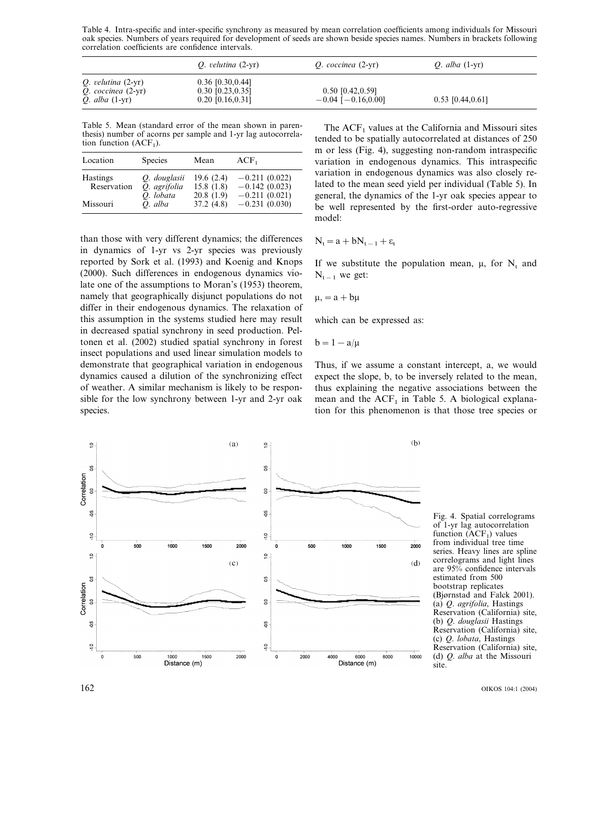Table 4. Intra-specific and inter-specific synchrony as measured by mean correlation coefficients among individuals for Missouri oak species. Numbers of years required for development of seeds are shown beside species names. Numbers in brackets following correlation coefficients are confidence intervals.

|                                                                             | $Q.$ velutina $(2-yr)$                                          | $Q.$ coccinea $(2-yr)$                          | <i>O.</i> alba $(1-yr)$ |  |
|-----------------------------------------------------------------------------|-----------------------------------------------------------------|-------------------------------------------------|-------------------------|--|
| $Q.$ velutina $(2-yr)$<br>$Q.$ coccinea $(2-yr)$<br><i>O.</i> alba $(1-yr)$ | $0.36$ [0.30,0.44]<br>$0.30$ [0.23, 0.35]<br>$0.20$ [0.16,0.31] | $0.50$ [0.42,0.59]<br>$-0.04$ [ $-0.16, 0.00$ ] | $0.53$ [0.44,0.61]      |  |

Table 5. Mean (standard error of the mean shown in parenthesis) number of acorns per sample and 1-yr lag autocorrelation function  $(ACF<sub>1</sub>)$ .

| Location                       | <b>Species</b>                            | Mean                                | $ACF_1$                                               |
|--------------------------------|-------------------------------------------|-------------------------------------|-------------------------------------------------------|
| <b>Hastings</b><br>Reservation | O. douglasii<br>O. agrifolia<br>O. lobata | 19.6(2.4)<br>15.8(1.8)<br>20.8(1.9) | $-0.211(0.022)$<br>$-0.142(0.023)$<br>$-0.211(0.021)$ |
| Missouri                       | O. alba                                   | 37.2(4.8)                           | $-0.231(0.030)$                                       |

than those with very different dynamics; the differences in dynamics of 1-yr vs 2-yr species was previously reported by Sork et al. (1993) and Koenig and Knops (2000). Such differences in endogenous dynamics violate one of the assumptions to Moran's (1953) theorem, namely that geographically disjunct populations do not differ in their endogenous dynamics. The relaxation of this assumption in the systems studied here may result in decreased spatial synchrony in seed production. Peltonen et al. (2002) studied spatial synchrony in forest insect populations and used linear simulation models to demonstrate that geographical variation in endogenous dynamics caused a dilution of the synchronizing effect of weather. A similar mechanism is likely to be responsible for the low synchrony between 1-yr and 2-yr oak species.

The  $ACF<sub>1</sub>$  values at the California and Missouri sites tended to be spatially autocorrelated at distances of 250 m or less (Fig. 4), suggesting non-random intraspecific variation in endogenous dynamics. This intraspecific variation in endogenous dynamics was also closely related to the mean seed yield per individual (Table 5). In general, the dynamics of the 1-yr oak species appear to be well represented by the first-order auto-regressive model:

$$
N_t\,{=}\,a+bN_{t\,-1}\,{+}\,\epsilon_t
$$

If we substitute the population mean,  $\mu$ , for  $N_t$  and  $N_{t-1}$  we get:

$$
\mu, = a + b\mu
$$

which can be expressed as:

$$
b=1-a/\mu
$$

Thus, if we assume a constant intercept, a, we would expect the slope, b, to be inversely related to the mean, thus explaining the negative associations between the mean and the  $ACF<sub>1</sub>$  in Table 5. A biological explanation for this phenomenon is that those tree species or



Fig. 4. Spatial correlograms of 1-yr lag autocorrelation function  $(ACF<sub>1</sub>)$  values from individual tree time series. Heavy lines are spline correlograms and light lines are 95% confidence intervals estimated from 500 bootstrap replicates (Bjørnstad and Falck 2001). (a) *Q*. *agrifolia*, Hastings Reservation (California) site, (b) *Q*. *douglasii* Hastings Reservation (California) site, (c) *Q*. *lobata*, Hastings Reservation (California) site, (d) *Q*. *alba* at the Missouri site.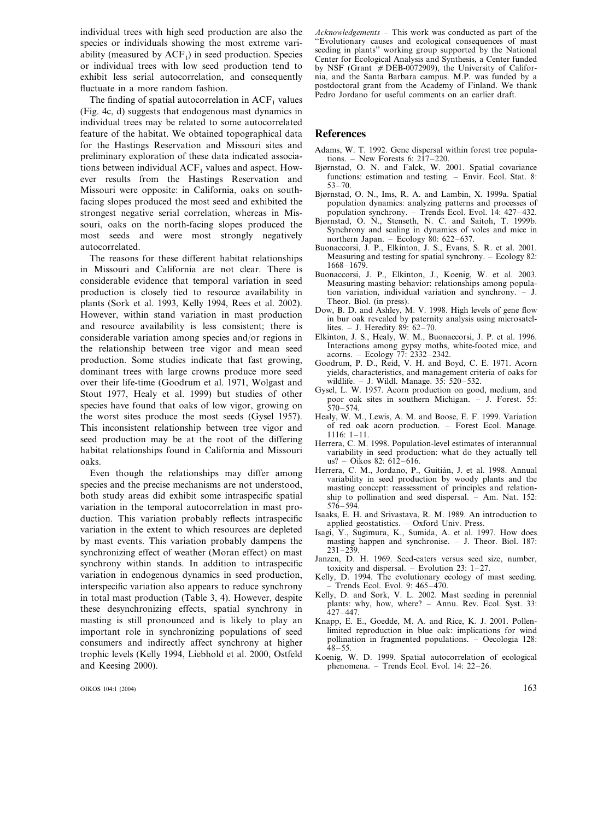individual trees with high seed production are also the species or individuals showing the most extreme variability (measured by  $ACF_1$ ) in seed production. Species or individual trees with low seed production tend to exhibit less serial autocorrelation, and consequently fluctuate in a more random fashion.

The finding of spatial autocorrelation in  $ACF<sub>1</sub>$  values (Fig. 4c, d) suggests that endogenous mast dynamics in individual trees may be related to some autocorrelated feature of the habitat. We obtained topographical data for the Hastings Reservation and Missouri sites and preliminary exploration of these data indicated associations between individual  $ACF<sub>1</sub>$  values and aspect. However results from the Hastings Reservation and Missouri were opposite: in California, oaks on southfacing slopes produced the most seed and exhibited the strongest negative serial correlation, whereas in Missouri, oaks on the north-facing slopes produced the most seeds and were most strongly negatively autocorrelated.

The reasons for these different habitat relationships in Missouri and California are not clear. There is considerable evidence that temporal variation in seed production is closely tied to resource availability in plants (Sork et al. 1993, Kelly 1994, Rees et al. 2002). However, within stand variation in mast production and resource availability is less consistent; there is considerable variation among species and/or regions in the relationship between tree vigor and mean seed production. Some studies indicate that fast growing, dominant trees with large crowns produce more seed over their life-time (Goodrum et al. 1971, Wolgast and Stout 1977, Healy et al. 1999) but studies of other species have found that oaks of low vigor, growing on the worst sites produce the most seeds (Gysel 1957). This inconsistent relationship between tree vigor and seed production may be at the root of the differing habitat relationships found in California and Missouri oaks.

Even though the relationships may differ among species and the precise mechanisms are not understood, both study areas did exhibit some intraspecific spatial variation in the temporal autocorrelation in mast production. This variation probably reflects intraspecific variation in the extent to which resources are depleted by mast events. This variation probably dampens the synchronizing effect of weather (Moran effect) on mast synchrony within stands. In addition to intraspecific variation in endogenous dynamics in seed production, interspecific variation also appears to reduce synchrony in total mast production (Table 3, 4). However, despite these desynchronizing effects, spatial synchrony in masting is still pronounced and is likely to play an important role in synchronizing populations of seed consumers and indirectly affect synchrony at higher trophic levels (Kelly 1994, Liebhold et al. 2000, Ostfeld and Keesing 2000).

*Acknowledgements* – This work was conducted as part of the ''Evolutionary causes and ecological consequences of mast seeding in plants'' working group supported by the National Center for Ecological Analysis and Synthesis, a Center funded by NSF (Grant  $#$  DEB-0072909), the University of California, and the Santa Barbara campus. M.P. was funded by a postdoctoral grant from the Academy of Finland. We thank Pedro Jordano for useful comments on an earlier draft.

#### **References**

- Adams, W. T. 1992. Gene dispersal within forest tree populations. – New Forests 6: 217–220.
- Bjørnstad, O. N. and Falck, W. 2001. Spatial covariance functions: estimation and testing. – Envir. Ecol. Stat. 8: 53–70.
- Bjørnstad, O. N., Ims, R. A. and Lambin, X. 1999a. Spatial population dynamics: analyzing patterns and processes of population synchrony. – Trends Ecol. Evol. 14: 427–432.
- Bjørnstad, O. N., Stenseth, N. C. and Saitoh, T. 1999b. Synchrony and scaling in dynamics of voles and mice in northern Japan. – Ecology 80: 622–637.
- Buonaccorsi, J. P., Elkinton, J. S., Evans, S. R. et al. 2001. Measuring and testing for spatial synchrony. – Ecology 82: 1668–1679.
- Buonaccorsi, J. P., Elkinton, J., Koenig, W. et al. 2003. Measuring masting behavior: relationships among population variation, individual variation and synchrony. Theor. Biol. (in press).
- Dow, B. D. and Ashley, M. V. 1998. High levels of gene flow in bur oak revealed by paternity analysis using microsatellites. – J. Heredity  $89: 62-70$ .
- Elkinton, J. S., Healy, W. M., Buonaccorsi, J. P. et al. 1996. Interactions among gypsy moths, white-footed mice, and acorns. – Ecology 77: 2332–2342.
- Goodrum, P. D., Reid, V. H. and Boyd, C. E. 1971. Acorn yields, characteristics, and management criteria of oaks for wildlife. – J. Wildl. Manage. 35: 520–532.
- Gysel, L. W. 1957. Acorn production on good, medium, and poor oak sites in southern Michigan. – J. Forest. 55: 570–574.
- Healy, W. M., Lewis, A. M. and Boose, E. F. 1999. Variation of red oak acorn production. – Forest Ecol. Manage. 1116: 1–11.
- Herrera, C. M. 1998. Population-level estimates of interannual variability in seed production: what do they actually tell us? – Oikos 82:  $612-616$ .
- Herrera, C. M., Jordano, P., Guitián, J. et al. 1998. Annual variability in seed production by woody plants and the masting concept: reassessment of principles and relationship to pollination and seed dispersal. - Am. Nat. 152:  $576 - 594.$
- Isaaks, E. H. and Srivastava, R. M. 1989. An introduction to applied geostatistics. – Oxford Univ. Press.
- Isagi, Y., Sugimura, K., Sumida, A. et al. 1997. How does masting happen and synchronise. – J. Theor. Biol. 187:  $231 - 239$
- Janzen, D. H. 1969. Seed-eaters versus seed size, number, toxicity and dispersal. – Evolution 23: 1–27.
- Kelly, D. 1994. The evolutionary ecology of mast seeding. – Trends Ecol. Evol. 9: 465–470.
- Kelly, D. and Sork, V. L. 2002. Mast seeding in perennial plants: why, how, where? – Annu. Rev. Ecol. Syst. 33: 427–447.
- Knapp, E. E., Goedde, M. A. and Rice, K. J. 2001. Pollenlimited reproduction in blue oak: implications for wind pollination in fragmented populations. – Oecologia 128: 48–55.
- Koenig, W. D. 1999. Spatial autocorrelation of ecological phenomena. – Trends Ecol. Evol. 14: 22–26.